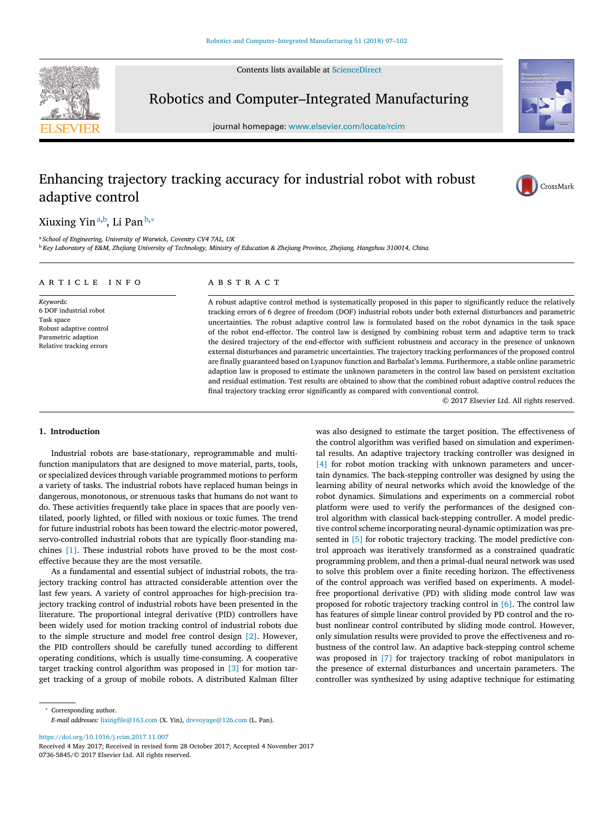Contents lists available at [ScienceDirect](http://www.ScienceDirect.com)



Robotics and Computer–Integrated Manufacturing

journal homepage: [www.elsevier.com/locate/rcim](http://www.elsevier.com/locate/rcim)

# Enhancing trajectory tracking accuracy for industrial robot with robust adaptive control





# Xiuxing Yin<sup>a,b</sup>, Li Pan<sup>b,∗</sup>

<sup>a</sup> *School of Engineering, University of Warwick, Coventry CV4 7AL, UK*

<sup>b</sup> Key Laboratory of E&M, Zhejiang University of Technology, Ministry of Education & Zhejiang Province, Zhejiang, Hangzhou 310014, China

## a r t i c l e i n f o

*Keywords:* 6 DOF industrial robot Task space Robust adaptive control Parametric adaption Relative tracking errors

## A B S T R A C T

A robust adaptive control method is systematically proposed in this paper to significantly reduce the relatively tracking errors of 6 degree of freedom (DOF) industrial robots under both external disturbances and parametric uncertainties. The robust adaptive control law is formulated based on the robot dynamics in the task space of the robot end-effector. The control law is designed by combining robust term and adaptive term to track the desired trajectory of the end-effector with sufficient robustness and accuracy in the presence of unknown external disturbances and parametric uncertainties. The trajectory tracking performances of the proposed control are finally guaranteed based on Lyapunov function and Barbalat's lemma. Furthermore, a stable online parametric adaption law is proposed to estimate the unknown parameters in the control law based on persistent excitation and residual estimation. Test results are obtained to show that the combined robust adaptive control reduces the final trajectory tracking error significantly as compared with conventional control.

© 2017 Elsevier Ltd. All rights reserved.

#### **1. Introduction**

Industrial robots are base-stationary, reprogrammable and multifunction manipulators that are designed to move material, parts, tools, or specialized devices through variable programmed motions to perform a variety of tasks. The industrial robots have replaced human beings in dangerous, monotonous, or strenuous tasks that humans do not want to do. These activities frequently take place in spaces that are poorly ventilated, poorly lighted, or filled with noxious or toxic fumes. The trend for future industrial robots has been toward the electric-motor powered, servo-controlled industrial robots that are typically floor-standing machines [\[1\].](#page-5-0) These industrial robots have proved to be the most costeffective because they are the most versatile.

As a fundamental and essential subject of industrial robots, the trajectory tracking control has attracted considerable attention over the last few years. A variety of control approaches for high-precision trajectory tracking control of industrial robots have been presented in the literature. The proportional integral derivative (PID) controllers have been widely used for motion tracking control of industrial robots due to the simple structure and model free control design [\[2\].](#page-5-0) However, the PID controllers should be carefully tuned according to different operating conditions, which is usually time-consuming. A cooperative target tracking control algorithm was proposed in [\[3\]](#page-5-0) for motion target tracking of a group of mobile robots. A distributed Kalman filter was also designed to estimate the target position. The effectiveness of the control algorithm was verified based on simulation and experimental results. An adaptive trajectory tracking controller was designed in [\[4\]](#page-5-0) for robot motion tracking with unknown parameters and uncertain dynamics. The back-stepping controller was designed by using the learning ability of neural networks which avoid the knowledge of the robot dynamics. Simulations and experiments on a commercial robot platform were used to verify the performances of the designed control algorithm with classical back-stepping controller. A model predictive control scheme incorporating neural-dynamic optimization was presented in [\[5\]](#page-5-0) for robotic trajectory tracking. The model predictive control approach was iteratively transformed as a constrained quadratic programming problem, and then a primal-dual neural network was used to solve this problem over a finite receding horizon. The effectiveness of the control approach was verified based on experiments. A modelfree proportional derivative (PD) with sliding mode control law was proposed for robotic trajectory tracking control in [\[6\].](#page-5-0) The control law has features of simple linear control provided by PD control and the robust nonlinear control contributed by sliding mode control. However, only simulation results were provided to prove the effectiveness and robustness of the control law. An adaptive back-stepping control scheme was proposed in [\[7\]](#page-5-0) for trajectory tracking of robot manipulators in the presence of external disturbances and uncertain parameters. The controller was synthesized by using adaptive technique for estimating

<sup>∗</sup> Corresponding author. *E-mail addresses:* [lixingfile@163.com](mailto:lixingfile@163.com) (X. Yin), [drevoyage@126.com](mailto:drevoyage@126.com) (L. Pan).

<https://doi.org/10.1016/j.rcim.2017.11.007>

Received 4 May 2017; Received in revised form 28 October 2017; Accepted 4 November 2017 0736-5845/© 2017 Elsevier Ltd. All rights reserved.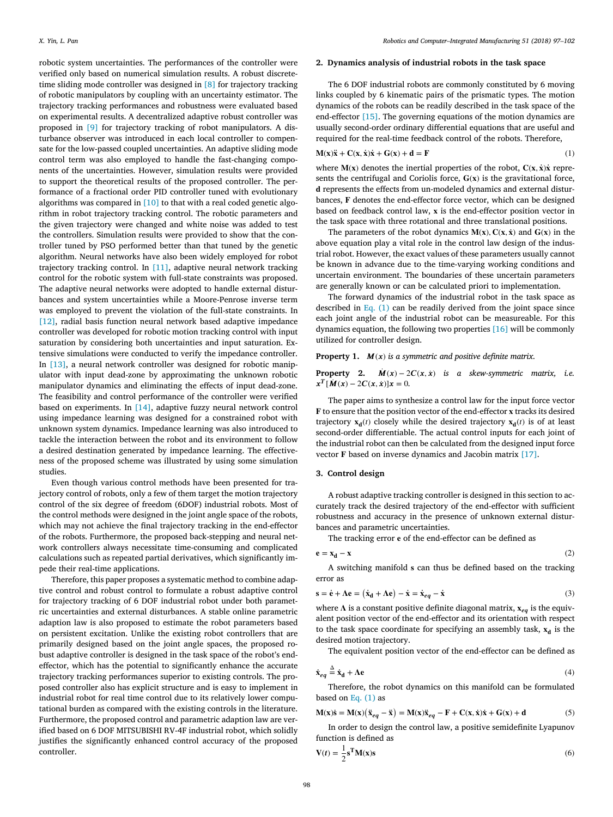<span id="page-1-0"></span>robotic system uncertainties. The performances of the controller were verified only based on numerical simulation results. A robust discretetime sliding mode controller was designed in [\[8\]](#page-5-0) for trajectory tracking of robotic manipulators by coupling with an uncertainty estimator. The trajectory tracking performances and robustness were evaluated based on experimental results. A decentralized adaptive robust controller was proposed in [\[9\]](#page-5-0) for trajectory tracking of robot manipulators. A disturbance observer was introduced in each local controller to compensate for the low-passed coupled uncertainties. An adaptive sliding mode control term was also employed to handle the fast-changing components of the uncertainties. However, simulation results were provided to support the theoretical results of the proposed controller. The performance of a fractional order PID controller tuned with evolutionary algorithms was compared in [\[10\]](#page-5-0) to that with a real coded genetic algorithm in robot trajectory tracking control. The robotic parameters and the given trajectory were changed and white noise was added to test the controllers. Simulation results were provided to show that the controller tuned by PSO performed better than that tuned by the genetic algorithm. Neural networks have also been widely employed for robot trajectory tracking control. In [\[11\],](#page-5-0) adaptive neural network tracking control for the robotic system with full-state constraints was proposed. The adaptive neural networks were adopted to handle external disturbances and system uncertainties while a Moore-Penrose inverse term was employed to prevent the violation of the full-state constraints. In [\[12\],](#page-5-0) radial basis function neural network based adaptive impedance controller was developed for robotic motion tracking control with input saturation by considering both uncertainties and input saturation. Extensive simulations were conducted to verify the impedance controller. In [\[13\],](#page-5-0) a neural network controller was designed for robotic manipulator with input dead-zone by approximating the unknown robotic manipulator dynamics and eliminating the effects of input dead-zone. The feasibility and control performance of the controller were verified based on experiments. In [\[14\],](#page-5-0) adaptive fuzzy neural network control using impedance learning was designed for a constrained robot with unknown system dynamics. Impedance learning was also introduced to tackle the interaction between the robot and its environment to follow a desired destination generated by impedance learning. The effectiveness of the proposed scheme was illustrated by using some simulation studies.

Even though various control methods have been presented for trajectory control of robots, only a few of them target the motion trajectory control of the six degree of freedom (6DOF) industrial robots. Most of the control methods were designed in the joint angle space of the robots, which may not achieve the final trajectory tracking in the end-effector of the robots. Furthermore, the proposed back-stepping and neural network controllers always necessitate time-consuming and complicated calculations such as repeated partial derivatives, which significantly impede their real-time applications.

Therefore, this paper proposes a systematic method to combine adaptive control and robust control to formulate a robust adaptive control for trajectory tracking of 6 DOF industrial robot under both parametric uncertainties and external disturbances. A stable online parametric adaption law is also proposed to estimate the robot parameters based on persistent excitation. Unlike the existing robot controllers that are primarily designed based on the joint angle spaces, the proposed robust adaptive controller is designed in the task space of the robot's endeffector, which has the potential to significantly enhance the accurate trajectory tracking performances superior to existing controls. The proposed controller also has explicit structure and is easy to implement in industrial robot for real time control due to its relatively lower computational burden as compared with the existing controls in the literature. Furthermore, the proposed control and parametric adaption law are verified based on 6 DOF MITSUBISHI RV-4F industrial robot, which solidly justifies the significantly enhanced control accuracy of the proposed controller.

#### **2. Dynamics analysis of industrial robots in the task space**

The 6 DOF industrial robots are commonly constituted by 6 moving links coupled by 6 kinematic pairs of the prismatic types. The motion dynamics of the robots can be readily described in the task space of the end-effector [\[15\].](#page-5-0) The governing equations of the motion dynamics are usually second-order ordinary differential equations that are useful and required for the real-time feedback control of the robots. Therefore,

$$
\mathbf{M}(\mathbf{x})\ddot{\mathbf{x}} + \mathbf{C}(\mathbf{x}, \dot{\mathbf{x}})\dot{\mathbf{x}} + \mathbf{G}(\mathbf{x}) + \mathbf{d} = \mathbf{F} \tag{1}
$$

where  $M(x)$  denotes the inertial properties of the robot,  $C(x, \dot{x})\dot{x}$  represents the centrifugal and Coriolis force,  $G(x)$  is the gravitational force, d represents the effects from un-modeled dynamics and external disturbances, F denotes the end-effector force vector, which can be designed based on feedback control law, x is the end-effector position vector in the task space with three rotational and three translational positions.

The parameters of the robot dynamics  $M(x)$ ,  $C(x, \dot{x})$  and  $G(x)$  in the above equation play a vital role in the control law design of the industrial robot. However, the exact values of these parameters usually cannot be known in advance due to the time-varying working conditions and uncertain environment. The boundaries of these uncertain parameters are generally known or can be calculated priori to implementation.

The forward dynamics of the industrial robot in the task space as described in Eq.  $(1)$  can be readily derived from the joint space since each joint angle of the industrial robot can be measureable. For this dynamics equation, the following two properties [\[16\]](#page-5-0) will be commonly utilized for controller design.

#### **Property 1.**  $M(x)$  *is a symmetric and positive definite matrix.*

**Property 2.**  $\dot{M}(x) - 2C(x, \dot{x})$  *is a skew-symmetric matrix, i.e.*  $x^T [\dot{M}(x) - 2C(x, \dot{x})]x = 0.$ 

The paper aims to synthesize a control law for the input force vector to ensure that the position vector of the end-effector tracks its desired trajectory  $x_d(t)$  closely while the desired trajectory  $x_d(t)$  is of at least second-order differentiable. The actual control inputs for each joint of the industrial robot can then be calculated from the designed input force vector  $F$  based on inverse dynamics and Jacobin matrix [\[17\].](#page-5-0)

## **3. Control design**

A robust adaptive tracking controller is designed in this section to accurately track the desired trajectory of the end-effector with sufficient robustness and accuracy in the presence of unknown external disturbances and parametric uncertainties.

The tracking error e of the end-effector can be defined as

$$
\mathbf{e} = \mathbf{x_d} - \mathbf{x} \tag{2}
$$

A switching manifold s can thus be defined based on the tracking error as

$$
\mathbf{s} = \dot{\mathbf{e}} + \Lambda \mathbf{e} = (\dot{\mathbf{x}}_{\mathbf{d}} + \Lambda \mathbf{e}) - \dot{\mathbf{x}} = \dot{\mathbf{x}}_{eq} - \dot{\mathbf{x}} \tag{3}
$$

where  $\Lambda$  is a constant positive definite diagonal matrix,  $x_{eq}$  is the equivalent position vector of the end-effector and its orientation with respect to the task space coordinate for specifying an assembly task,  $x_d$  is the desired motion trajectory.

The equivalent position vector of the end-effector can be defined as

$$
\dot{\mathbf{x}}_{eq} \stackrel{\Delta}{=} \dot{\mathbf{x}}_{\mathbf{d}} + \Lambda \mathbf{e} \tag{4}
$$

Therefore, the robot dynamics on this manifold can be formulated based on Eq. (1) as

$$
M(x)\dot{s} = M(x)(\ddot{x}_{eq} - \ddot{x}) = M(x)\ddot{x}_{eq} - F + C(x, \dot{x})\dot{x} + G(x) + d
$$
 (5)

In order to design the control law, a positive semidefinite Lyapunov function is defined as

$$
V(t) = \frac{1}{2}s^{T}M(x)s
$$
\n(6)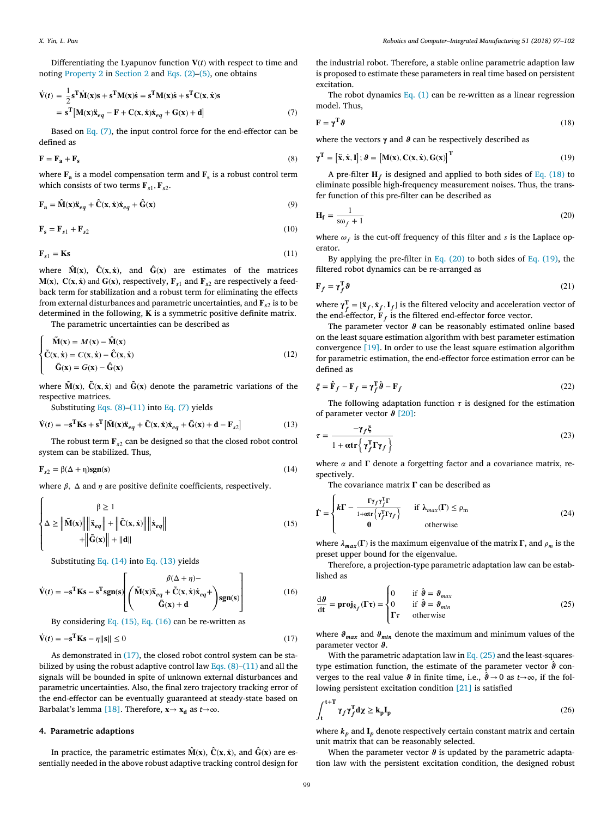<span id="page-2-0"></span>Differentiating the Lyapunov function  $V(t)$  with respect to time and noting [Property](#page-1-0) 2 in [Section](#page-1-0) 2 and [Eqs.](#page-1-0) (2)[–\(5\),](#page-1-0) one obtains

$$
\dot{\mathbf{V}}(t) = \frac{1}{2}\mathbf{s}^{\mathrm{T}}\dot{\mathbf{M}}(\mathbf{x})\mathbf{s} + \mathbf{s}^{\mathrm{T}}\mathbf{M}(\mathbf{x})\dot{\mathbf{s}} = \mathbf{s}^{\mathrm{T}}\mathbf{M}(\mathbf{x})\dot{\mathbf{s}} + \mathbf{s}^{\mathrm{T}}\mathbf{C}(\mathbf{x}, \dot{\mathbf{x}})\mathbf{s}
$$
\n
$$
= \mathbf{s}^{\mathrm{T}}\left[\mathbf{M}(\mathbf{x})\ddot{\mathbf{x}}_{eq} - \mathbf{F} + \mathbf{C}(\mathbf{x}, \dot{\mathbf{x}})\dot{\mathbf{x}}_{eq} + \mathbf{G}(\mathbf{x}) + \mathbf{d}\right]
$$
\n(7)

Based on Eq. (7), the input control force for the end-effector can be defined as

$$
\mathbf{F} = \mathbf{F_a} + \mathbf{F_s} \tag{8}
$$

where  $\mathbf{F}_a$  is a model compensation term and  $\mathbf{F}_s$  is a robust control term which consists of two terms  $\mathbf{F}_{s1}, \mathbf{F}_{s2}$ .

$$
\mathbf{F}_a = \mathbf{\hat{M}}(\mathbf{x}) \ddot{\mathbf{x}}_{eq} + \mathbf{\hat{C}}(\mathbf{x}, \dot{\mathbf{x}}) \dot{\mathbf{x}}_{eq} + \mathbf{\hat{G}}(\mathbf{x})
$$
(9)

$$
\mathbf{F}_s = \mathbf{F}_{s1} + \mathbf{F}_{s2} \tag{10}
$$

$$
\mathbf{F}_{s1} = \mathbf{K}\mathbf{s} \tag{11}
$$

where  $\hat{M}(x)$ ,  $\hat{C}(x, \dot{x})$ , and  $\hat{G}(x)$  are estimates of the matrices  $M(x)$ ,  $C(x, \dot{x})$  and  $G(x)$ , respectively,  $F_{s1}$  and  $F_{s2}$  are respectively a feedback term for stabilization and a robust term for eliminating the effects from external disturbances and parametric uncertainties, and  $\mathbf{F}_{s2}$  is to be determined in the following,  $K$  is a symmetric positive definite matrix.

The parametric uncertainties can be described as

$$
\begin{cases}\n\tilde{\mathbf{M}}(\mathbf{x}) = M(\mathbf{x}) - \hat{\mathbf{M}}(\mathbf{x}) \\
\tilde{\mathbf{C}}(\mathbf{x}, \dot{\mathbf{x}}) = C(\mathbf{x}, \dot{\mathbf{x}}) - \hat{\mathbf{C}}(\mathbf{x}, \dot{\mathbf{x}}) \\
\tilde{\mathbf{G}}(\mathbf{x}) = G(\mathbf{x}) - \hat{\mathbf{G}}(\mathbf{x})\n\end{cases}
$$
\n(12)

where  $\tilde{M}(x)$ ,  $\tilde{C}(x, \dot{x})$  and  $\tilde{G}(x)$  denote the parametric variations of the respective matrices.

Substituting Eqs.  $(8)$ – $(11)$  into Eq.  $(7)$  yields

$$
\dot{\mathbf{V}}(t) = -\mathbf{s}^{\mathrm{T}}\mathbf{K}\mathbf{s} + \mathbf{s}^{\mathrm{T}} \left[ \tilde{\mathbf{M}}(\mathbf{x}) \ddot{\mathbf{x}}_{eq} + \tilde{\mathbf{C}}(\mathbf{x}, \dot{\mathbf{x}}) \dot{\mathbf{x}}_{eq} + \tilde{\mathbf{G}}(\mathbf{x}) + \mathbf{d} - \mathbf{F}_{s2} \right]
$$
(13)

The robust term  $\mathbf{F}_{s2}$  can be designed so that the closed robot control system can be stabilized. Thus,

$$
\mathbf{F}_{s2} = \beta(\Delta + \eta)\mathbf{sgn}(\mathbf{s})\tag{14}
$$

where  $\beta$ ,  $\Delta$  and  $\eta$  are positive definite coefficients, respectively.

$$
\begin{cases}\n\beta \ge 1 \\
\Delta \ge \left\| \tilde{\mathbf{M}}(\mathbf{x}) \right\| \left\| \ddot{\mathbf{x}}_{eq} \right\| + \left\| \tilde{\mathbf{C}}(\mathbf{x}, \dot{\mathbf{x}}) \right\| \left\| \dot{\mathbf{x}}_{eq} \right\| \\
+ \left\| \tilde{\mathbf{G}}(\mathbf{x}) \right\| + \|\mathbf{d}\| \n\end{cases} \tag{15}
$$

Substituting Eq. (14) into Eq. (13) yields

$$
\dot{\mathbf{V}}(t) = -\mathbf{s}^{\mathrm{T}} \mathbf{K} \mathbf{s} - \mathbf{s}^{\mathrm{T}} \mathbf{sgn}(\mathbf{s}) \left[ \begin{pmatrix} \tilde{M}(x)\ddot{x}_{eq} + \tilde{C}(x, \dot{x})\dot{x}_{eq} + \\ \tilde{G}(x) + \mathbf{d} \end{pmatrix} \mathbf{sgn}(\mathbf{s}) \right] \tag{16}
$$

By considering Eq.  $(15)$ , Eq.  $(16)$  can be re-written as

$$
\dot{\mathbf{V}}(t) = -\mathbf{s}^{\mathrm{T}} \mathbf{K} \mathbf{s} - \eta \|\mathbf{s}\| \le 0 \tag{17}
$$

As demonstrated in  $(17)$ , the closed robot control system can be stabilized by using the robust adaptive control law Eqs. (8)–(11) and all the signals will be bounded in spite of unknown external disturbances and parametric uncertainties. Also, the final zero trajectory tracking error of the end-effector can be eventually guaranteed at steady-state based on Barbalat's lemma [\[18\].](#page-5-0) Therefore,  $x \rightarrow x_d$  as  $t \rightarrow \infty$ .

## **4. Parametric adaptions**

 $\epsilon$ 

In practice, the parametric estimates  $\hat{M}(x)$ ,  $\hat{C}(x, \dot{x})$ , and  $\hat{G}(x)$  are essentially needed in the above robust adaptive tracking control design for the industrial robot. Therefore, a stable online parametric adaption law is proposed to estimate these parameters in real time based on persistent excitation.

The robot dynamics  $Eq. (1)$  $Eq. (1)$  can be re-written as a linear regression model. Thus,

$$
\mathbf{F} = \boldsymbol{\gamma}^{\mathrm{T}} \boldsymbol{\vartheta} \tag{18}
$$

where the vectors  $\gamma$  and  $\vartheta$  can be respectively described as

$$
\gamma^{\mathrm{T}} = [\ddot{\mathbf{x}}, \dot{\mathbf{x}}, \mathbf{I}]; \boldsymbol{\theta} = [\mathbf{M}(\mathbf{x}), \mathbf{C}(\mathbf{x}, \dot{\mathbf{x}}), \mathbf{G}(\mathbf{x})]^{\mathrm{T}}
$$
(19)

A pre-filter  $H_f$  is designed and applied to both sides of Eq. (18) to eliminate possible high-frequency measurement noises. Thus, the transfer function of this pre-filter can be described as

$$
\mathbf{H}_{\mathbf{f}} = \frac{1}{\text{so}_{f} + 1} \tag{20}
$$

where  $\omega_f$  is the cut-off frequency of this filter and *s* is the Laplace operator.

By applying the pre-filter in Eq.  $(20)$  to both sides of Eq.  $(19)$ , the filtered robot dynamics can be re-arranged as

$$
\mathbf{F}_f = \gamma_f^{\mathrm{T}} \vartheta \tag{21}
$$

where  $\gamma_f^{\mathbf{T}} = [\ddot{\mathbf{x}}_f, \dot{\mathbf{x}}_f, \mathbf{I}_f]$  is the filtered velocity and acceleration vector of the end-effector,  $\mathbf{F}_f$  is the filtered end-effector force vector.

The parameter vector  $\theta$  can be reasonably estimated online based on the least square estimation algorithm with best parameter estimation convergence [\[19\].](#page-5-0) In order to use the least square estimation algorithm for parametric estimation, the end-effector force estimation error can be defined as

$$
\xi = \hat{\mathbf{F}}_f - \mathbf{F}_f = \gamma_f^{\mathrm{T}} \hat{\boldsymbol{\vartheta}} - \mathbf{F}_f \tag{22}
$$

The following adaptation function  $\tau$  is designed for the estimation of parameter vector  $\theta$  [\[20\]:](#page-5-0)

$$
\tau = \frac{-\gamma_f \xi}{1 + \alpha \text{tr} \left\{ \gamma_f^{\text{T}} \Gamma \gamma_f \right\}} \tag{23}
$$

where  $\alpha$  and  $\Gamma$  denote a forgetting factor and a covariance matrix, respectively.

The covariance matrix  $\Gamma$  can be described as

$$
\dot{\Gamma} = \begin{cases}\n k\Gamma - \frac{\Gamma \gamma_f \gamma_f^T \Gamma}{1 + \alpha \text{tr} \{ \gamma_f^T \Gamma \gamma_f \}} & \text{if } \lambda_{max}(\Gamma) \le \rho_m \\
 0 & \text{otherwise}\n\end{cases}
$$
\n(24)

where  $\lambda_{max}(\Gamma)$  is the maximum eigenvalue of the matrix  $\Gamma$ , and  $\rho_m$  is the preset upper bound for the eigenvalue.

Therefore, a projection-type parametric adaptation law can be established as

$$
\frac{\mathrm{d}\vartheta}{\mathrm{d}t} = \mathbf{proj}_{\hat{\mathbf{x}}_f}(\Gamma \tau) = \begin{cases} 0 & \text{if } \hat{\vartheta} = \vartheta_{max} \\ 0 & \text{if } \hat{\vartheta} = \vartheta_{min} \\ \Gamma \tau & \text{otherwise} \end{cases}
$$
(25)

where  $\theta_{max}$  and  $\theta_{min}$  denote the maximum and minimum values of the parameter vector  $\theta$ .

With the parametric adaptation law in Eq.  $(25)$  and the least-squarestype estimation function, the estimate of the parameter vector  $\hat{\theta}$  converges to the real value  $\theta$  in finite time, i.e.,  $\hat{\theta} \rightarrow 0$  as  $t \rightarrow \infty$ , if the following persistent excitation condition [\[21\]](#page-5-0) is satisfied

$$
\int_{t}^{t+T} \gamma_f \gamma_f^T d\chi \ge k_p I_p \tag{26}
$$

where  $k_n$  and  $I_n$  denote respectively certain constant matrix and certain unit matrix that can be reasonably selected.

When the parameter vector  $\theta$  is updated by the parametric adaptation law with the persistent excitation condition, the designed robust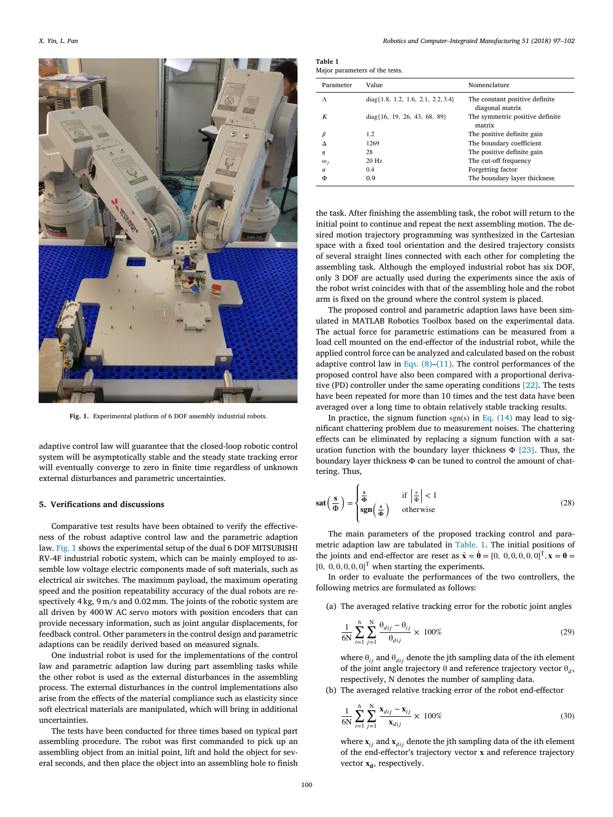

**Fig. 1.** Experimental platform of 6 DOF assembly industrial robots.

adaptive control law will guarantee that the closed-loop robotic control system will be asymptotically stable and the steady state tracking error will eventually converge to zero in finite time regardless of unknown external disturbances and parametric uncertainties.

# **5. Verifications and discussions**

Comparative test results have been obtained to verify the effectiveness of the robust adaptive control law and the parametric adaption law. Fig. 1 shows the experimental setup of the dual 6 DOF MITSUBISHI RV-4F industrial robotic system, which can be mainly employed to assemble low voltage electric components made of soft materials, such as electrical air switches. The maximum payload, the maximum operating speed and the position repeatability accuracy of the dual robots are respectively 4 kg, 9 m/s and 0.02 mm. The joints of the robotic system are all driven by 400 W AC servo motors with position encoders that can provide necessary information, such as joint angular displacements, for feedback control. Other parameters in the control design and parametric adaptions can be readily derived based on measured signals.

One industrial robot is used for the implementations of the control law and parametric adaption law during part assembling tasks while the other robot is used as the external disturbances in the assembling process. The external disturbances in the control implementations also arise from the effects of the material compliance such as elasticity since soft electrical materials are manipulated, which will bring in additional uncertainties.

The tests have been conducted for three times based on typical part assembling procedure. The robot was first commanded to pick up an assembling object from an initial point, lift and hold the object for several seconds, and then place the object into an assembling hole to finish

**Table 1**

| Major parameters of the tests. |                                      |                                                   |  |  |  |  |
|--------------------------------|--------------------------------------|---------------------------------------------------|--|--|--|--|
| Parameter                      | Value                                | Nomenclature                                      |  |  |  |  |
| Λ                              | $diag{1.8, 1.2, 1.6, 2.1, 2.2, 3.4}$ | The constant positive definite<br>diagonal matrix |  |  |  |  |
| K                              | $diag\{16, 19, 26, 43, 68, 89\}$     | The symmetric positive definite<br>matrix         |  |  |  |  |
| β                              | 1.2                                  | The positive definite gain                        |  |  |  |  |
| л                              | 1269                                 | The boundary coefficient                          |  |  |  |  |
| η                              | 28                                   | The positive definite gain                        |  |  |  |  |
| $\omega_f$                     | $20$ Hz                              | The cut-off frequency                             |  |  |  |  |
| $\alpha$                       | 0.4                                  | Forgetting factor                                 |  |  |  |  |
| Φ                              | 0.9                                  | The boundary layer thickness                      |  |  |  |  |

the task. After finishing the assembling task, the robot will return to the initial point to continue and repeat the next assembling motion. The desired motion trajectory programming was synthesized in the Cartesian space with a fixed tool orientation and the desired trajectory consists of several straight lines connected with each other for completing the assembling task. Although the employed industrial robot has six DOF, only 3 DOF are actually used during the experiments since the axis of the robot wrist coincides with that of the assembling hole and the robot arm is fixed on the ground where the control system is placed.

The proposed control and parametric adaption laws have been simulated in MATLAB Robotics Toolbox based on the experimental data. The actual force for parametric estimations can be measured from a load cell mounted on the end-effector of the industrial robot, while the applied control force can be analyzed and calculated based on the robust adaptive control law in [Eqs.](#page-2-0)  $(8)$ – $(11)$ . The control performances of the proposed control have also been compared with a proportional derivative (PD) controller under the same operating conditions [\[22\].](#page-5-0) The tests have been repeated for more than 10 times and the test data have been averaged over a long time to obtain relatively stable tracking results.

In practice, the signum function  $sgn(s)$  in Eq. [\(14\)](#page-2-0) may lead to significant chattering problem due to measurement noises. The chattering effects can be eliminated by replacing a signum function with a saturation function with the boundary layer thickness  $\Phi$  [\[23\].](#page-5-0) Thus, the boundary layer thickness Φ can be tuned to control the amount of chattering. Thus,

$$
\text{sat}\left(\frac{\mathbf{s}}{\Phi}\right) = \begin{cases} \frac{\mathbf{s}}{\Phi} & \text{if } \left|\frac{\mathbf{s}}{\Phi}\right| < 1\\ \text{sgn}\left(\frac{\mathbf{s}}{\Phi}\right) & \text{otherwise} \end{cases} \tag{28}
$$

The main parameters of the proposed tracking control and parametric adaption law are tabulated in Table. 1. The initial positions of the joints and end-effector are reset as  $\dot{\mathbf{x}} = \dot{\mathbf{\theta}} = [0, 0, 0, 0, 0, 0]^T$ ,  $\mathbf{x} = \mathbf{\theta} =$  $[0, 0, 0, 0, 0, 0]$ <sup>T</sup> when starting the experiments.

In order to evaluate the performances of the two controllers, the following metrics are formulated as follows:

(a) The averaged relative tracking error for the robotic joint angles

$$
\frac{1}{6N} \sum_{i=1}^{6} \sum_{j=1}^{N} \frac{\theta_{dij} - \theta_{ij}}{\theta_{dij}} \times 100\% \tag{29}
$$

where  $\theta_{ii}$  and  $\theta_{dii}$  denote the jth sampling data of the ith element of the joint angle trajectory  $\theta$  and reference trajectory vector  $\theta_d$ , respectively, N denotes the number of sampling data.

(b) The averaged relative tracking error of the robot end-effector

$$
\frac{1}{6N} \sum_{i=1}^{6} \sum_{j=1}^{N} \frac{\mathbf{x}_{dij} - \mathbf{x}_{ij}}{\mathbf{x}_{dij}} \times 100\%
$$
\n(30)

where  $\mathbf{x}_{ij}$  and  $\mathbf{x}_{dij}$  denote the jth sampling data of the ith element of the end-effector's trajectory vector x and reference trajectory vector  $x_d$ , respectively.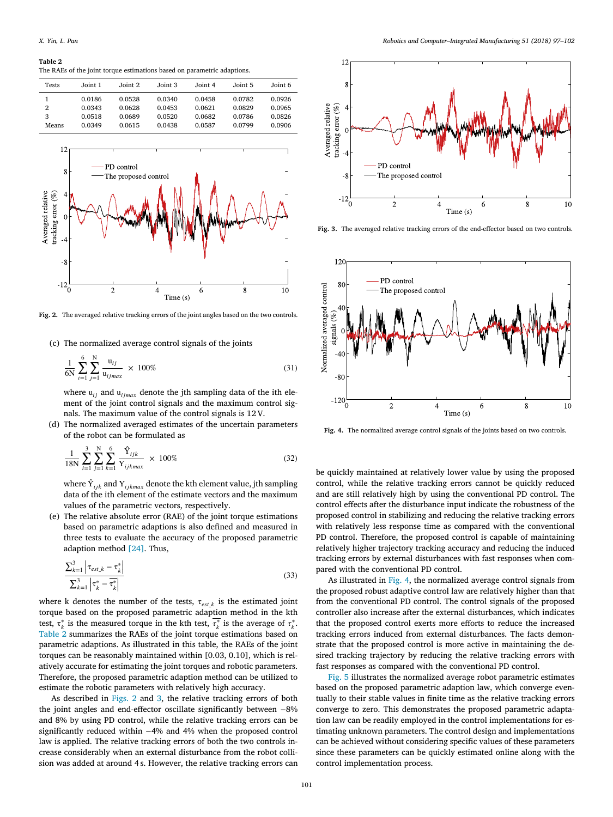#### **Table 2**

The RAEs of the joint torque estimations based on parametric adaptions.

| <b>Tests</b> | Joint 1 | Joint 2 | Joint 3 | Joint 4 | Joint 5 | Joint 6 |
|--------------|---------|---------|---------|---------|---------|---------|
|              | 0.0186  | 0.0528  | 0.0340  | 0.0458  | 0.0782  | 0.0926  |
| 2            | 0.0343  | 0.0628  | 0.0453  | 0.0621  | 0.0829  | 0.0965  |
| 3            | 0.0518  | 0.0689  | 0.0520  | 0.0682  | 0.0786  | 0.0826  |
| Means        | 0.0349  | 0.0615  | 0.0438  | 0.0587  | 0.0799  | 0.0906  |



**Fig. 2.** The averaged relative tracking errors of the joint angles based on the two controls.

(c) The normalized average control signals of the joints

$$
\frac{1}{6N} \sum_{i=1}^{6} \sum_{j=1}^{N} \frac{u_{ij}}{u_{ijmax}} \times 100\%
$$
\n(31)

where  $u_{ij}$  and  $u_{ijmax}$  denote the jth sampling data of the ith element of the joint control signals and the maximum control signals. The maximum value of the control signals is 12 V.

(d) The normalized averaged estimates of the uncertain parameters of the robot can be formulated as

$$
\frac{1}{18N} \sum_{i=1}^{3} \sum_{j=1}^{N} \sum_{k=1}^{6} \frac{\hat{Y}_{ijk}}{Y_{ijkmax}} \times 100\%
$$
 (32)

where  $\hat{Y}_{ijk}$  and  $Y_{ijkmax}$  denote the kth element value, jth sampling data of the ith element of the estimate vectors and the maximum values of the parametric vectors, respectively.

(e) The relative absolute error (RAE) of the joint torque estimations based on parametric adaptions is also defined and measured in three tests to evaluate the accuracy of the proposed parametric adaption method [\[24\].](#page-5-0) Thus,

$$
\frac{\sum_{k=1}^{3} \left| \tau_{est\_k} - \tau_{k}^{*} \right|}{\sum_{k=1}^{3} \left| \tau_{k}^{*} - \overline{\tau_{k}^{*}} \right|}
$$
\n(33)

where k denotes the number of the tests,  $\tau_{est\_k}$  is the estimated joint torque based on the proposed parametric adaption method in the kth test,  $\tau_k^*$  is the measured torque in the kth test,  $\overline{\tau_k^*}$  is the average of  $\tau_k^*$ . Table 2 summarizes the RAEs of the joint torque estimations based on parametric adaptions. As illustrated in this table, the RAEs of the joint torques can be reasonably maintained within [0.03, 0.10], which is relatively accurate for estimating the joint torques and robotic parameters. Therefore, the proposed parametric adaption method can be utilized to estimate the robotic parameters with relatively high accuracy.

As described in Figs. 2 and 3, the relative tracking errors of both the joint angles and end-effector oscillate significantly between −8% and 8% by using PD control, while the relative tracking errors can be significantly reduced within −4% and 4% when the proposed control law is applied. The relative tracking errors of both the two controls increase considerably when an external disturbance from the robot collision was added at around 4 s. However, the relative tracking errors can



**Fig. 3.** The averaged relative tracking errors of the end-effector based on two controls.



**Fig. 4.** The normalized average control signals of the joints based on two controls.

be quickly maintained at relatively lower value by using the proposed control, while the relative tracking errors cannot be quickly reduced and are still relatively high by using the conventional PD control. The control effects after the disturbance input indicate the robustness of the proposed control in stabilizing and reducing the relative tracking errors with relatively less response time as compared with the conventional PD control. Therefore, the proposed control is capable of maintaining relatively higher trajectory tracking accuracy and reducing the induced tracking errors by external disturbances with fast responses when compared with the conventional PD control.

As illustrated in Fig. 4, the normalized average control signals from the proposed robust adaptive control law are relatively higher than that from the conventional PD control. The control signals of the proposed controller also increase after the external disturbances, which indicates that the proposed control exerts more efforts to reduce the increased tracking errors induced from external disturbances. The facts demonstrate that the proposed control is more active in maintaining the desired tracking trajectory by reducing the relative tracking errors with fast responses as compared with the conventional PD control.

[Fig.](#page-5-0) 5 illustrates the normalized average robot parametric estimates based on the proposed parametric adaption law, which converge eventually to their stable values in finite time as the relative tracking errors converge to zero. This demonstrates the proposed parametric adaptation law can be readily employed in the control implementations for estimating unknown parameters. The control design and implementations can be achieved without considering specific values of these parameters since these parameters can be quickly estimated online along with the control implementation process.